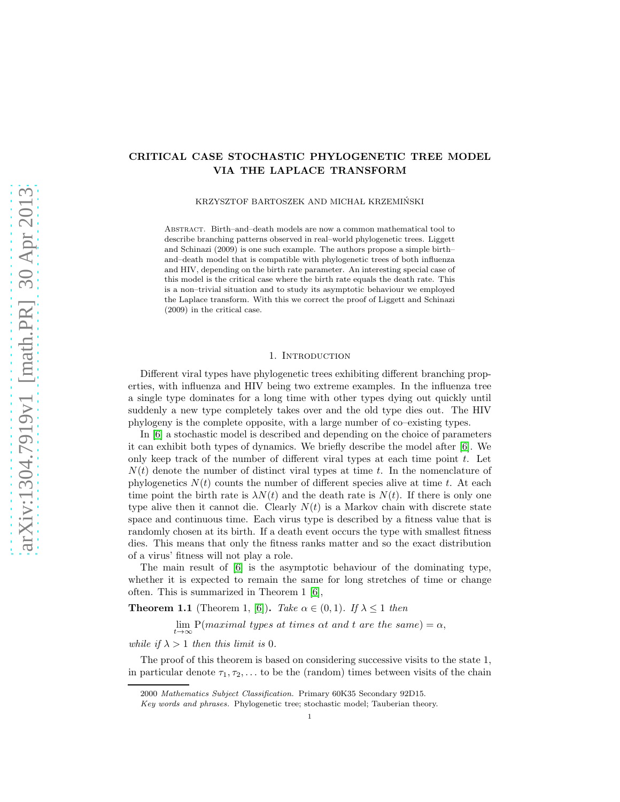# CRITICAL CASE STOCHASTIC PHYLOGENETIC TREE MODEL VIA THE LAPLACE TRANSFORM

KRZYSZTOF BARTOSZEK AND MICHAŁ KRZEMIŃSKI

Abstract. Birth–and–death models are now a common mathematical tool to describe branching patterns observed in real–world phylogenetic trees. Liggett and Schinazi (2009) is one such example. The authors propose a simple birth– and–death model that is compatible with phylogenetic trees of both influenza and HIV, depending on the birth rate parameter. An interesting special case of this model is the critical case where the birth rate equals the death rate. This is a non–trivial situation and to study its asymptotic behaviour we employed the Laplace transform. With this we correct the proof of Liggett and Schinazi (2009) in the critical case.

### 1. INTRODUCTION

Different viral types have phylogenetic trees exhibiting different branching properties, with influenza and HIV being two extreme examples. In the influenza tree a single type dominates for a long time with other types dying out quickly until suddenly a new type completely takes over and the old type dies out. The HIV phylogeny is the complete opposite, with a large number of co–existing types.

In [\[6\]](#page-5-0) a stochastic model is described and depending on the choice of parameters it can exhibit both types of dynamics. We briefly describe the model after [\[6\]](#page-5-0). We only keep track of the number of different viral types at each time point  $t$ . Let  $N(t)$  denote the number of distinct viral types at time t. In the nomenclature of phylogenetics  $N(t)$  counts the number of different species alive at time t. At each time point the birth rate is  $\lambda N(t)$  and the death rate is  $N(t)$ . If there is only one type alive then it cannot die. Clearly  $N(t)$  is a Markov chain with discrete state space and continuous time. Each virus type is described by a fitness value that is randomly chosen at its birth. If a death event occurs the type with smallest fitness dies. This means that only the fitness ranks matter and so the exact distribution of a virus' fitness will not play a role.

The main result of [\[6\]](#page-5-0) is the asymptotic behaviour of the dominating type, whether it is expected to remain the same for long stretches of time or change often. This is summarized in Theorem 1 [\[6\]](#page-5-0),

**Theorem 1.1** (Theorem 1, [\[6\]](#page-5-0)). Take  $\alpha \in (0,1)$ . If  $\lambda \leq 1$  then

 $\lim_{t\to\infty} P(maximal types at times at and t are the same) = \alpha,$ 

while if  $\lambda > 1$  then this limit is 0.

The proof of this theorem is based on considering successive visits to the state 1, in particular denote  $\tau_1, \tau_2, \ldots$  to be the (random) times between visits of the chain

<sup>2000</sup> Mathematics Subject Classification. Primary 60K35 Secondary 92D15.

Key words and phrases. Phylogenetic tree; stochastic model; Tauberian theory.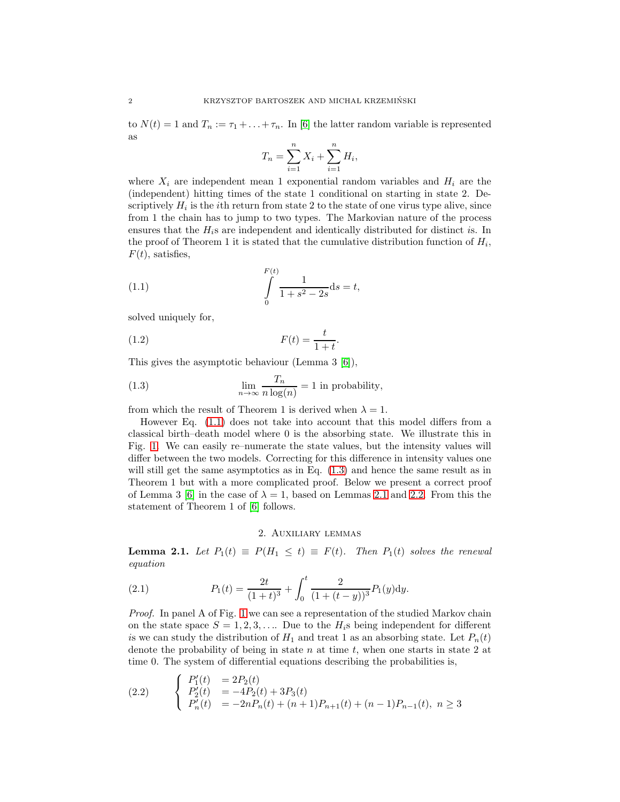to  $N(t) = 1$  and  $T_n := \tau_1 + \ldots + \tau_n$ . In [\[6\]](#page-5-0) the latter random variable is represented as

$$
T_n = \sum_{i=1}^{n} X_i + \sum_{i=1}^{n} H_i,
$$

where  $X_i$  are independent mean 1 exponential random variables and  $H_i$  are the (independent) hitting times of the state 1 conditional on starting in state 2. Descriptively  $H_i$  is the *i*th return from state 2 to the state of one virus type alive, since from 1 the chain has to jump to two types. The Markovian nature of the process ensures that the  $H_i$ s are independent and identically distributed for distinct is. In the proof of Theorem 1 it is stated that the cumulative distribution function of  $H_i$ ,  $F(t)$ , satisfies,

<span id="page-1-0"></span>(1.1) 
$$
\int_{0}^{F(t)} \frac{1}{1+s^2-2s} \mathrm{d}s = t,
$$

solved uniquely for,

$$
F(t) = \frac{t}{1+t}.
$$

This gives the asymptotic behaviour (Lemma 3 [\[6\]](#page-5-0)),

<span id="page-1-1"></span>(1.3) 
$$
\lim_{n \to \infty} \frac{T_n}{n \log(n)} = 1
$$
 in probability,

from which the result of Theorem 1 is derived when  $\lambda = 1$ .

However Eq. [\(1.1\)](#page-1-0) does not take into account that this model differs from a classical birth–death model where 0 is the absorbing state. We illustrate this in Fig. [1.](#page-2-0) We can easily re–numerate the state values, but the intensity values will differ between the two models. Correcting for this difference in intensity values one will still get the same asymptotics as in Eq. [\(1.3\)](#page-1-1) and hence the same result as in Theorem 1 but with a more complicated proof. Below we present a correct proof of Lemma 3 [\[6\]](#page-5-0) in the case of  $\lambda = 1$ , based on Lemmas [2.1](#page-1-2) and [2.2.](#page-3-0) From this the statement of Theorem 1 of [\[6\]](#page-5-0) follows.

## <span id="page-1-3"></span>2. Auxiliary lemmas

<span id="page-1-2"></span>**Lemma 2.1.** Let  $P_1(t) \equiv P(H_1 \le t) \equiv F(t)$ . Then  $P_1(t)$  solves the renewal equation

(2.1) 
$$
P_1(t) = \frac{2t}{(1+t)^3} + \int_0^t \frac{2}{(1+(t-y))^3} P_1(y) \mathrm{d}y.
$$

Proof. In panel A of Fig. [1](#page-2-0) we can see a representation of the studied Markov chain on the state space  $S = 1, 2, 3, \ldots$  Due to the  $H_i$ s being independent for different is we can study the distribution of  $H_1$  and treat 1 as an absorbing state. Let  $P_n(t)$ denote the probability of being in state  $n$  at time  $t$ , when one starts in state 2 at time 0. The system of differential equations describing the probabilities is,

(2.2) 
$$
\begin{cases}\nP'_1(t) &= 2P_2(t) \\
P'_2(t) &= -4P_2(t) + 3P_3(t) \\
P'_n(t) &= -2nP_n(t) + (n+1)P_{n+1}(t) + (n-1)P_{n-1}(t), \ n \ge 3\n\end{cases}
$$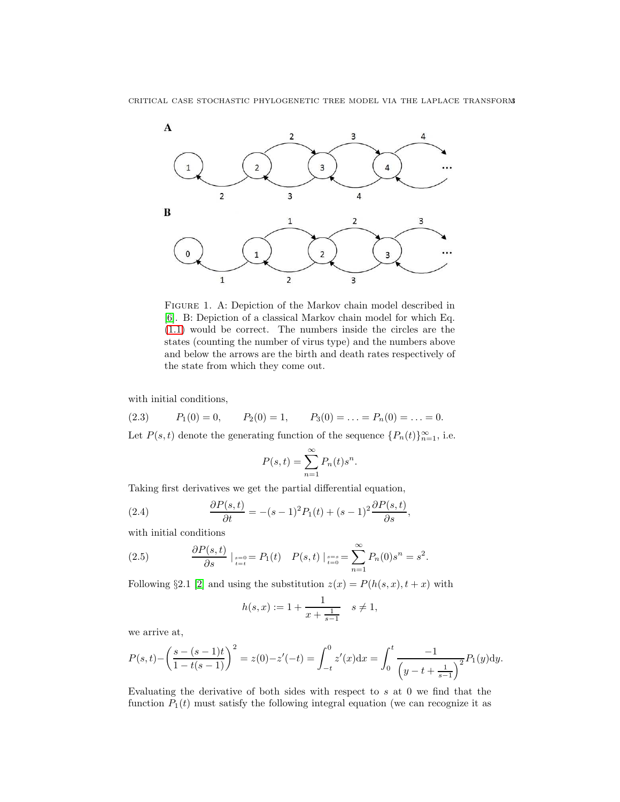

<span id="page-2-0"></span>Figure 1. A: Depiction of the Markov chain model described in [\[6\]](#page-5-0). B: Depiction of a classical Markov chain model for which Eq. [\(1.1\)](#page-1-0) would be correct. The numbers inside the circles are the states (counting the number of virus type) and the numbers above and below the arrows are the birth and death rates respectively of the state from which they come out.

with initial conditions,

(2.3) 
$$
P_1(0) = 0
$$
,  $P_2(0) = 1$ ,  $P_3(0) = \ldots = P_n(0) = \ldots = 0$ .

Let  $P(s,t)$  denote the generating function of the sequence  $\{P_n(t)\}_{n=1}^{\infty}$ , i.e.

<span id="page-2-1"></span>
$$
P(s,t) = \sum_{n=1}^{\infty} P_n(t) s^n.
$$

Taking first derivatives we get the partial differential equation,

(2.4) 
$$
\frac{\partial P(s,t)}{\partial t} = -(s-1)^2 P_1(t) + (s-1)^2 \frac{\partial P(s,t)}{\partial s},
$$

with initial conditions

(2.5) 
$$
\frac{\partial P(s,t)}{\partial s}\Big|_{s=0 \atop t=t} = P_1(t) \quad P(s,t)\Big|_{s=s \atop t=0} = \sum_{n=1}^{\infty} P_n(0)s^n = s^2.
$$

Following §2.1 [\[2\]](#page-5-1) and using the substitution  $z(x) = P(h(s, x), t + x)$  with

$$
h(s,x) := 1 + \frac{1}{x + \frac{1}{s-1}} \quad s \neq 1,
$$

we arrive at,

$$
P(s,t) - \left(\frac{s - (s-1)t}{1 - t(s-1)}\right)^2 = z(0) - z'(-t) = \int_{-t}^0 z'(x) dx = \int_0^t \frac{-1}{\left(y - t + \frac{1}{s-1}\right)^2} P_1(y) dy.
$$

Evaluating the derivative of both sides with respect to s at 0 we find that the function  $P_1(t)$  must satisfy the following integral equation (we can recognize it as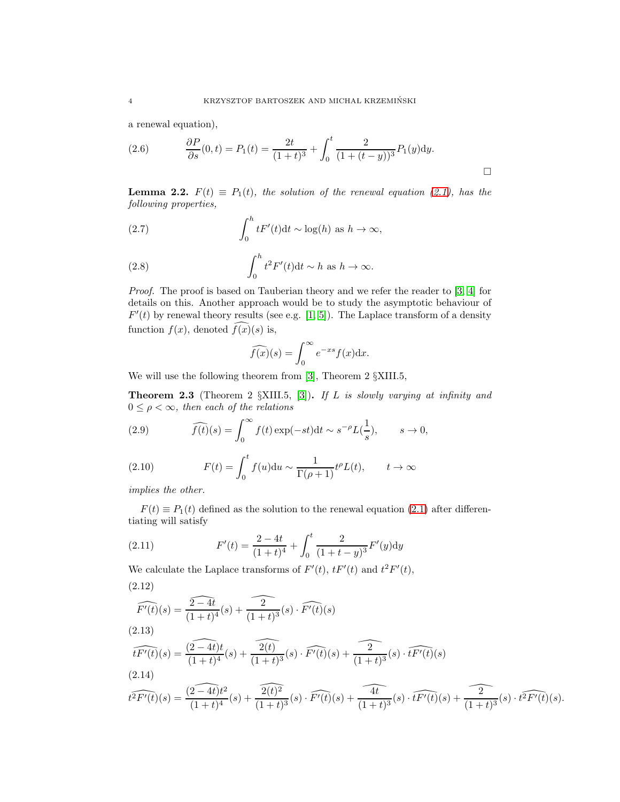a renewal equation),

(2.6) 
$$
\frac{\partial P}{\partial s}(0,t) = P_1(t) = \frac{2t}{(1+t)^3} + \int_0^t \frac{2}{(1+(t-y))^3} P_1(y) dy.
$$

<span id="page-3-0"></span>**Lemma 2.2.**  $F(t) \equiv P_1(t)$ , the solution of the renewal equation [\(2.1\)](#page-1-3), has the following properties,

(2.7) 
$$
\int_0^h t F'(t) dt \sim \log(h) \text{ as } h \to \infty,
$$

(2.8) 
$$
\int_0^h t^2 F'(t) dt \sim h \text{ as } h \to \infty.
$$

Proof. The proof is based on Tauberian theory and we refer the reader to [\[3,](#page-5-2) [4\]](#page-5-3) for details on this. Another approach would be to study the asymptotic behaviour of  $F'(t)$  by renewal theory results (see e.g. [\[1,](#page-5-4) [5\]](#page-5-5)). The Laplace transform of a density function  $f(x)$ , denoted  $\widehat{f(x)}(s)$  is,

$$
\widehat{f(x)}(s) = \int_0^\infty e^{-xs} f(x) \mathrm{d}x.
$$

We will use the following theorem from [\[3\]](#page-5-2), Theorem 2 §XIII.5,

**Theorem 2.3** (Theorem 2  $\S$ XIII.5, [\[3\]](#page-5-2)). If L is slowly varying at infinity and  $0 \leq \rho < \infty$ , then each of the relations

(2.9) 
$$
\widehat{f(t)}(s) = \int_0^\infty f(t) \exp(-st) dt \sim s^{-\rho} L(\frac{1}{s}), \qquad s \to 0,
$$

(2.10) 
$$
F(t) = \int_0^t f(u) \mathrm{d}u \sim \frac{1}{\Gamma(\rho+1)} t^{\rho} L(t), \qquad t \to \infty
$$

implies the other.

 $F(t) \equiv P_1(t)$  defined as the solution to the renewal equation [\(2.1\)](#page-1-3) after differentiating will satisfy

(2.11) 
$$
F'(t) = \frac{2 - 4t}{(1+t)^4} + \int_0^t \frac{2}{(1+t-y)^3} F'(y) dy
$$

We calculate the Laplace transforms of  $F'(t)$ ,  $tF'(t)$  and  $t^2F'(t)$ , (2.12)

$$
\widehat{F'(t)}(s) = \frac{\widehat{2-4t}}{(1+t)^4}(s) + \frac{\widehat{2}}{(1+t)^3}(s) \cdot \widehat{F'(t)}(s)
$$
\n(2.13)

$$
\widehat{tF'(t)}(s) = \frac{\widehat{(2-4t)}t}{(1+t)^4}(s) + \frac{\widehat{2(t)}}{(1+t)^3}(s) \cdot \widehat{F'(t)}(s) + \frac{\widehat{2(t)}}{(1+t)^3}(s) \cdot \widehat{tF'(t)}(s)
$$
\n(2.14)

$$
\widehat{t^2F'(t)}(s) = \frac{\widehat{(2-4t)}t^2}{(1+t)^4}(s) + \frac{\widehat{2(t)^2}}{(1+t)^3}(s) \cdot \widehat{F'(t)}(s) + \widehat{\frac{4t}{(1+t)^3}}(s) \cdot \widehat{tF'(t)}(s) + \widehat{\frac{2}{(1+t)^3}}(s) \cdot \widehat{t^2F'(t)}(s).
$$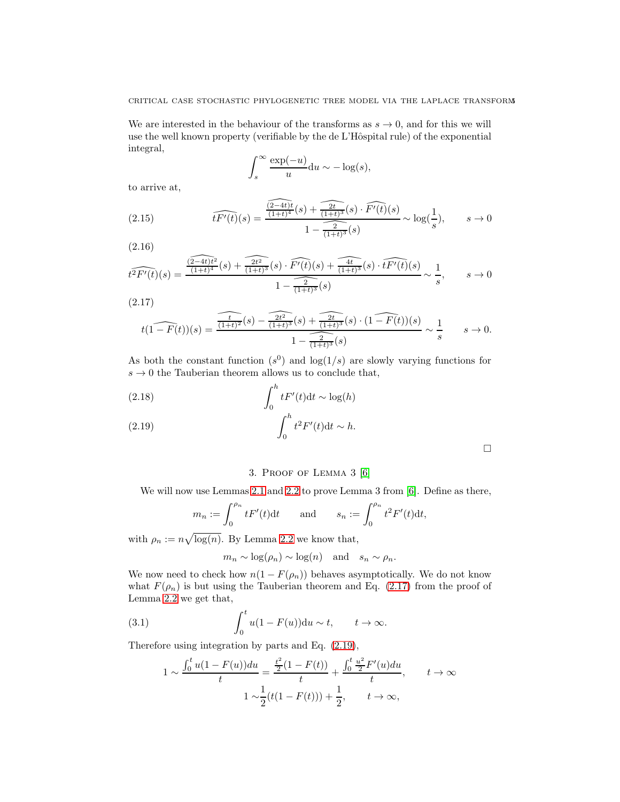We are interested in the behaviour of the transforms as  $s \to 0$ , and for this we will use the well known property (verifiable by the de L'Hôspital rule) of the exponential integral,

$$
\int_s^\infty \frac{\exp(-u)}{u} \mathrm{d}u \sim -\log(s),
$$

to arrive at,

(2.15) 
$$
\widehat{tF'(t)}(s) = \frac{\widehat{(2-4t)t}(s) + \widehat{2t}(s) \cdot \widehat{F'(t)}(s)}{1 - \widehat{2t}(s)} \sim \log(\frac{1}{s}), \qquad s \to 0
$$

(2.16)

$$
t^2 \widehat{F'(t)}(s) = \frac{\widehat{\frac{(2-4t)t^2}{(1+t)^4}}(s) + \widehat{\frac{2t^2}{(1+t)^3}}(s) \cdot \widehat{F'(t)}(s) + \widehat{\frac{4t}{(1+t)^3}}(s) \cdot \widehat{tF'(t)}(s)}{1 - \widehat{\frac{2}{(1+t)^3}}(s)} \sim \frac{1}{s}, \qquad s \to 0
$$

<span id="page-4-0"></span>(2.17)

$$
t(1-F(t))(s) = \frac{\widehat{\frac{t}{(1+t)^2}(s) - \frac{2t^2}{(1+t)^3}(s) + \frac{2t}{(1+t)^3}(s) \cdot (1-F(t))(s)}}{1-\frac{2}{(1+t)^3}(s)} \sim \frac{1}{s} \qquad s \to 0.
$$

As both the constant function  $(s^0)$  and  $\log(1/s)$  are slowly varying functions for  $s \to 0$  the Tauberian theorem allows us to conclude that,

<span id="page-4-1"></span>(2.18) 
$$
\int_0^h t F'(t) dt \sim \log(h)
$$

$$
\int_0^h t^2 F'(t) dt \sim h.
$$

## 3. Proof of Lemma 3 [\[6\]](#page-5-0)

We will now use Lemmas [2.1](#page-1-2) and [2.2](#page-3-0) to prove Lemma 3 from [\[6\]](#page-5-0). Define as there,

$$
m_n := \int_0^{\rho_n} t F'(t) dt \quad \text{and} \quad s_n := \int_0^{\rho_n} t^2 F'(t) dt,
$$

with  $\rho_n := n \sqrt{\log(n)}$ . By Lemma [2.2](#page-3-0) we know that,

 $m_n \sim \log(\rho_n) \sim \log(n)$  and  $s_n \sim \rho_n$ .

We now need to check how  $n(1 - F(\rho_n))$  behaves asymptotically. We do not know what  $F(\rho_n)$  is but using the Tauberian theorem and Eq. [\(2.17\)](#page-4-0) from the proof of Lemma [2.2](#page-3-0) we get that,

(3.1) 
$$
\int_0^t u(1 - F(u)) \mathrm{d}u \sim t, \qquad t \to \infty.
$$

Therefore using integration by parts and Eq. [\(2.19\)](#page-4-1),

$$
1 \sim \frac{\int_0^t u(1 - F(u))du}{t} = \frac{\frac{t^2}{2}(1 - F(t))}{t} + \frac{\int_0^t \frac{u^2}{2} F'(u)du}{t}, \qquad t \to \infty
$$

$$
1 \sim \frac{1}{2}(t(1 - F(t))) + \frac{1}{2}, \qquad t \to \infty,
$$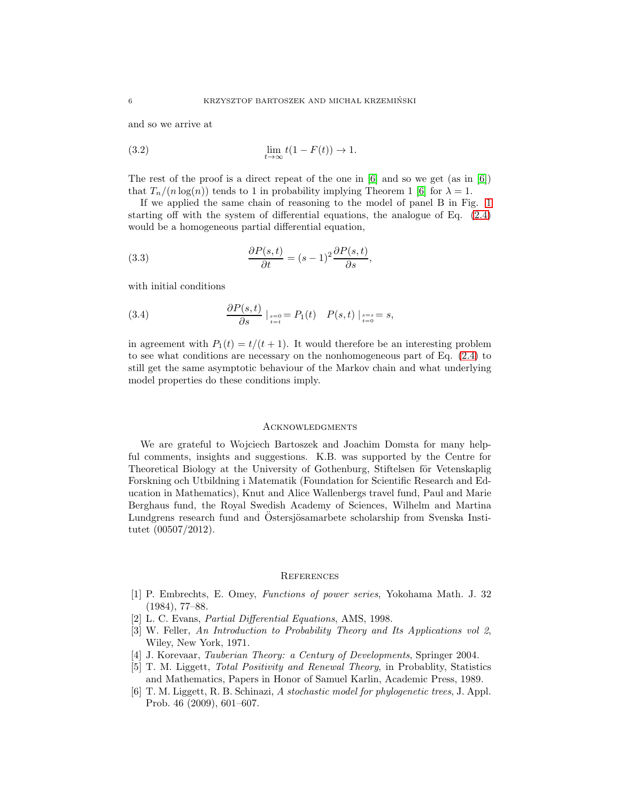and so we arrive at

$$
\lim_{t \to \infty} t(1 - F(t)) \to 1.
$$

The rest of the proof is a direct repeat of the one in  $[6]$  and so we get (as in  $[6]$ ) that  $T_n/(n \log(n))$  tends to 1 in probability implying Theorem 1 [\[6\]](#page-5-0) for  $\lambda = 1$ .

If we applied the same chain of reasoning to the model of panel B in Fig. [1](#page-2-0) starting off with the system of differential equations, the analogue of Eq. [\(2.4\)](#page-2-1) would be a homogeneous partial differential equation,

(3.3) 
$$
\frac{\partial P(s,t)}{\partial t} = (s-1)^2 \frac{\partial P(s,t)}{\partial s},
$$

with initial conditions

(3.4) 
$$
\frac{\partial P(s,t)}{\partial s}\Big|_{\substack{s=0 \ t=t}} = P_1(t) \quad P(s,t)\Big|_{\substack{s=s \ t=0}} = s,
$$

in agreement with  $P_1(t) = t/(t+1)$ . It would therefore be an interesting problem to see what conditions are necessary on the nonhomogeneous part of Eq. [\(2.4\)](#page-2-1) to still get the same asymptotic behaviour of the Markov chain and what underlying model properties do these conditions imply.

### **ACKNOWLEDGMENTS**

We are grateful to Wojciech Bartoszek and Joachim Domsta for many helpful comments, insights and suggestions. K.B. was supported by the Centre for Theoretical Biology at the University of Gothenburg, Stiftelsen för Vetenskaplig Forskning och Utbildning i Matematik (Foundation for Scientific Research and Education in Mathematics), Knut and Alice Wallenbergs travel fund, Paul and Marie Berghaus fund, the Royal Swedish Academy of Sciences, Wilhelm and Martina Lundgrens research fund and Ostersjösamarbete scholarship from Svenska Institutet (00507/2012).

#### **REFERENCES**

- <span id="page-5-4"></span>[1] P. Embrechts, E. Omey, Functions of power series, Yokohama Math. J. 32 (1984), 77–88.
- <span id="page-5-2"></span><span id="page-5-1"></span>[2] L. C. Evans, Partial Differential Equations, AMS, 1998.
- [3] W. Feller, An Introduction to Probability Theory and Its Applications vol 2, Wiley, New York, 1971.
- <span id="page-5-5"></span><span id="page-5-3"></span>[4] J. Korevaar, Tauberian Theory: a Century of Developments, Springer 2004.
- [5] T. M. Liggett, Total Positivity and Renewal Theory, in Probablity, Statistics and Mathematics, Papers in Honor of Samuel Karlin, Academic Press, 1989.
- <span id="page-5-0"></span>[6] T. M. Liggett, R. B. Schinazi, A stochastic model for phylogenetic trees, J. Appl. Prob. 46 (2009), 601–607.